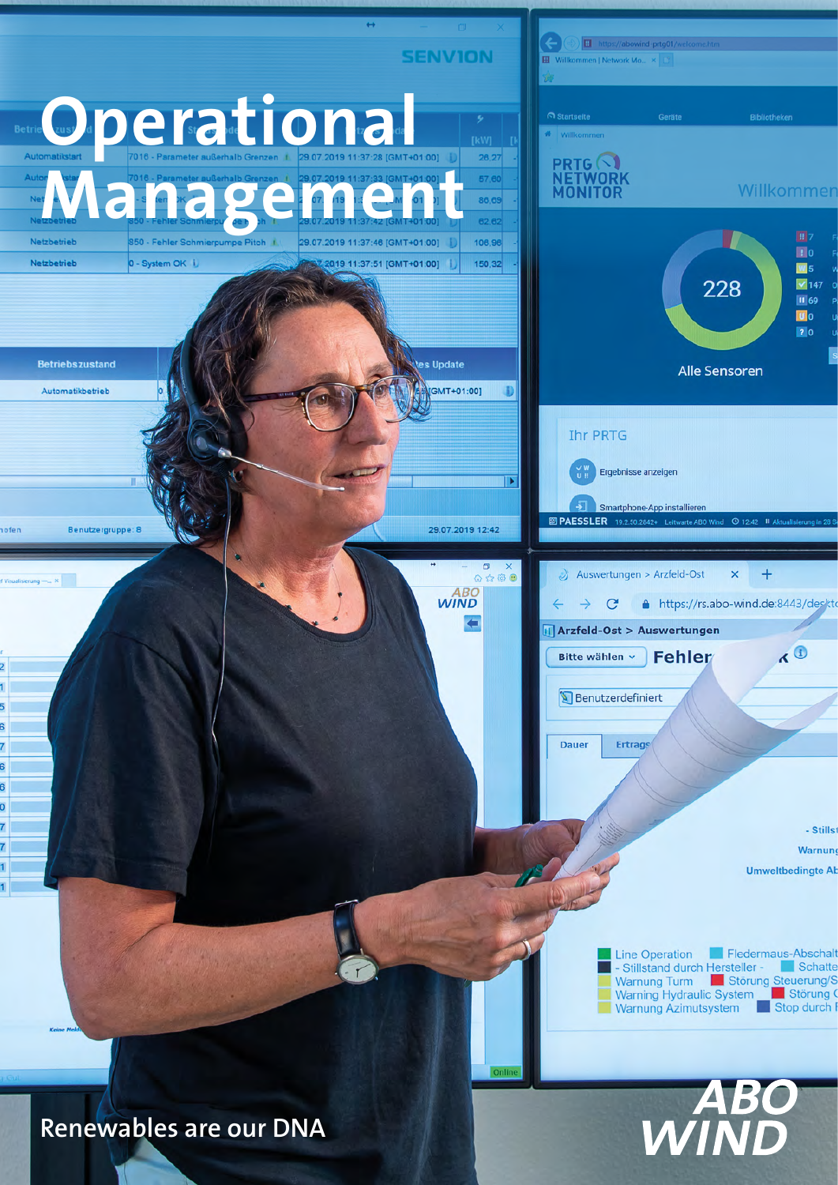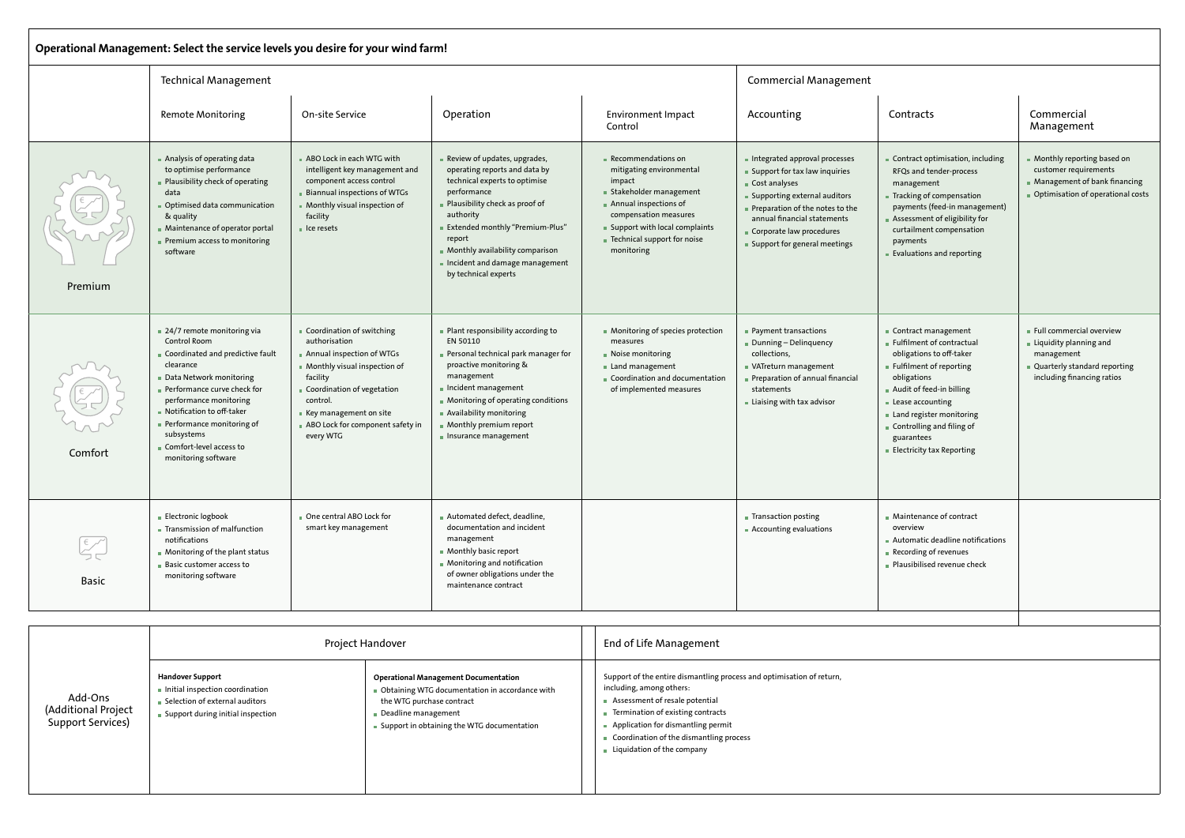| Operational Management: Select the service levels you desire for your wind farm!                                                                                                                                                                                                                                                                                                            |                                                                                                                                                                                                                                                                                                                    |                                                                                                                                                                                                                                          |                                                                                                                                                                                            |                                                                                                                                                                                                                                                                                                        |                                                                                                                                                                                                                      |                                                                                                                                                                                                                                                                  |                                                                                                                                                                                                                                                                                   |                                                                                                                                |  |  |
|---------------------------------------------------------------------------------------------------------------------------------------------------------------------------------------------------------------------------------------------------------------------------------------------------------------------------------------------------------------------------------------------|--------------------------------------------------------------------------------------------------------------------------------------------------------------------------------------------------------------------------------------------------------------------------------------------------------------------|------------------------------------------------------------------------------------------------------------------------------------------------------------------------------------------------------------------------------------------|--------------------------------------------------------------------------------------------------------------------------------------------------------------------------------------------|--------------------------------------------------------------------------------------------------------------------------------------------------------------------------------------------------------------------------------------------------------------------------------------------------------|----------------------------------------------------------------------------------------------------------------------------------------------------------------------------------------------------------------------|------------------------------------------------------------------------------------------------------------------------------------------------------------------------------------------------------------------------------------------------------------------|-----------------------------------------------------------------------------------------------------------------------------------------------------------------------------------------------------------------------------------------------------------------------------------|--------------------------------------------------------------------------------------------------------------------------------|--|--|
|                                                                                                                                                                                                                                                                                                                                                                                             | <b>Technical Management</b>                                                                                                                                                                                                                                                                                        |                                                                                                                                                                                                                                          |                                                                                                                                                                                            | <b>Commercial Management</b>                                                                                                                                                                                                                                                                           |                                                                                                                                                                                                                      |                                                                                                                                                                                                                                                                  |                                                                                                                                                                                                                                                                                   |                                                                                                                                |  |  |
|                                                                                                                                                                                                                                                                                                                                                                                             | <b>Remote Monitoring</b>                                                                                                                                                                                                                                                                                           | On-site Service                                                                                                                                                                                                                          |                                                                                                                                                                                            | Operation                                                                                                                                                                                                                                                                                              | <b>Environment Impact</b><br>Control                                                                                                                                                                                 | Accounting                                                                                                                                                                                                                                                       | Contracts                                                                                                                                                                                                                                                                         | Commercial<br>Management                                                                                                       |  |  |
| Premium                                                                                                                                                                                                                                                                                                                                                                                     | Analysis of operating data<br>to optimise performance<br>Plausibility check of operating<br>data<br>Optimised data communication<br>& quality<br>Maintenance of operator portal<br>Premium access to monitoring<br>software                                                                                        | ABO Lock in each WTG with<br>intelligent key management and<br>component access control<br><b>Biannual inspections of WTGs</b><br>Monthly visual inspection of<br>facility<br>lce resets                                                 |                                                                                                                                                                                            | Review of updates, upgrades,<br>operating reports and data by<br>technical experts to optimise<br>performance<br>Plausibility check as proof of<br>authority<br>Extended monthly "Premium-Plus"<br>report<br>Monthly availability comparison<br>Incident and damage management<br>by technical experts | Recommendations on<br>mitigating environmental<br>impact<br>Stakeholder management<br>Annual inspections of<br>compensation measures<br>Support with local complaints<br>■ Technical support for noise<br>monitoring | Integrated approval processes<br>$\blacksquare$ Support for tax law inquiries<br>Cost analyses<br>■ Supporting external auditors<br>Preparation of the notes to the<br>annual financial statements<br>Corporate law procedures<br>■ Support for general meetings | Contract optimisation, including<br>RFQs and tender-process<br>management<br>Tracking of compensation<br>payments (feed-in management)<br>Assessment of eligibility for<br>curtailment compensation<br>payments<br>Evaluations and reporting                                      | Monthly reporting based on<br>customer requirements<br>■ Management of bank financing<br>Optimisation of operational costs     |  |  |
| Comfort                                                                                                                                                                                                                                                                                                                                                                                     | $\sqrt{24/7}$ remote monitoring via<br>Control Room<br>Coordinated and predictive fault<br>clearance<br>Data Network monitoring<br>Performance curve check for<br>performance monitoring<br>Notification to off-taker<br>Performance monitoring of<br>subsystems<br>Comfort-level access to<br>monitoring software | Coordination of switching<br>authorisation<br>Annual inspection of WTGs<br>Monthly visual inspection of<br>facility<br>Coordination of vegetation<br>control.<br>Key management on site<br>ABO Lock for component safety in<br>every WTG |                                                                                                                                                                                            | Plant responsibility according to<br>EN 50110<br>Personal technical park manager for<br>proactive monitoring &<br>management<br>Incident management<br>Monitoring of operating conditions<br>Availability monitoring<br>Monthly premium report<br>$\blacksquare$ Insurance management                  | • Monitoring of species protection<br>measures<br>Noise monitoring<br>Land management<br>Coordination and documentation<br>of implemented measures                                                                   | • Payment transactions<br>Dunning - Delinquency<br>collections,<br>VATreturn management<br>Preparation of annual financial<br>statements<br>■ Liaising with tax advisor                                                                                          | Contract management<br>Fulfilment of contractual<br>obligations to off-taker<br>Fulfilment of reporting<br>obligations<br>Audit of feed-in billing<br>Lease accounting<br>Land register monitoring<br>Controlling and filing of<br>guarantees<br><b>Electricity tax Reporting</b> | Full commercial overview<br>Liquidity planning and<br>management<br>Quarterly standard reporting<br>including financing ratios |  |  |
| $\begin{picture}(120,10) \put(0,0){\vector(1,0){10}} \put(15,0){\vector(1,0){10}} \put(15,0){\vector(1,0){10}} \put(15,0){\vector(1,0){10}} \put(15,0){\vector(1,0){10}} \put(15,0){\vector(1,0){10}} \put(15,0){\vector(1,0){10}} \put(15,0){\vector(1,0){10}} \put(15,0){\vector(1,0){10}} \put(15,0){\vector(1,0){10}} \put(15,0){\vector(1,0){10}} \put(15,0){\vector($<br><b>Basic</b> | <b>Electronic logbook</b><br>One central ABO Lock for<br>smart key management<br>Transmission of malfunction<br>notifications<br>Monitoring of the plant status<br><b>Basic customer access to</b><br>monitoring software                                                                                          |                                                                                                                                                                                                                                          | Automated defect, deadline,<br>documentation and incident<br>management<br>Monthly basic report<br>• Monitoring and notification<br>of owner obligations under the<br>maintenance contract |                                                                                                                                                                                                                                                                                                        | Transaction posting<br>Accounting evaluations                                                                                                                                                                        | ■ Maintenance of contract<br>overview<br>Automatic deadline notifications<br>Recording of revenues<br>Plausibilised revenue check                                                                                                                                |                                                                                                                                                                                                                                                                                   |                                                                                                                                |  |  |
|                                                                                                                                                                                                                                                                                                                                                                                             |                                                                                                                                                                                                                                                                                                                    |                                                                                                                                                                                                                                          |                                                                                                                                                                                            |                                                                                                                                                                                                                                                                                                        |                                                                                                                                                                                                                      |                                                                                                                                                                                                                                                                  |                                                                                                                                                                                                                                                                                   |                                                                                                                                |  |  |
| Add-Ons<br>(Additional Project                                                                                                                                                                                                                                                                                                                                                              |                                                                                                                                                                                                                                                                                                                    | Project Handover                                                                                                                                                                                                                         |                                                                                                                                                                                            |                                                                                                                                                                                                                                                                                                        | <b>End of Life Management</b>                                                                                                                                                                                        |                                                                                                                                                                                                                                                                  |                                                                                                                                                                                                                                                                                   |                                                                                                                                |  |  |
|                                                                                                                                                                                                                                                                                                                                                                                             | <b>Handover Support</b><br>Initial inspection coordination<br>the WTG purchase contract<br>■ Selection of external auditors<br>Deadline management<br>Cunnart during initial inconsti-                                                                                                                             |                                                                                                                                                                                                                                          |                                                                                                                                                                                            | <b>Operational Management Documentation</b><br>Obtaining WTG documentation in accordance with                                                                                                                                                                                                          | including, among others:<br>Assessment of resale potential<br>Termination of existing contracts                                                                                                                      | Support of the entire dismantling process and optimisation of return,                                                                                                                                                                                            |                                                                                                                                                                                                                                                                                   |                                                                                                                                |  |  |

|                                                     |                                                                                                                                       | Project Handover                                                                                                                                                                                  | <b>End of Life Management</b>                                                                                                                                                                                                                                                                          |  |  |
|-----------------------------------------------------|---------------------------------------------------------------------------------------------------------------------------------------|---------------------------------------------------------------------------------------------------------------------------------------------------------------------------------------------------|--------------------------------------------------------------------------------------------------------------------------------------------------------------------------------------------------------------------------------------------------------------------------------------------------------|--|--|
| Add-Ons<br>(Additional Project<br>Support Services) | <b>Handover Support</b><br>Initial inspection coordination<br>■ Selection of external auditors<br>■ Support during initial inspection | <b>Operational Management Documentation</b><br>Obtaining WTG documentation in accordance with<br>the WTG purchase contract<br>Deadline management<br>■ Support in obtaining the WTG documentation | Support of the entire dismantling process and optimisation of return,<br>including, among others:<br>Assessment of resale potential<br>Fermination of existing contracts<br>Application for dismantling permit<br>Coordination of the dismantling process<br>$\blacksquare$ Liquidation of the company |  |  |